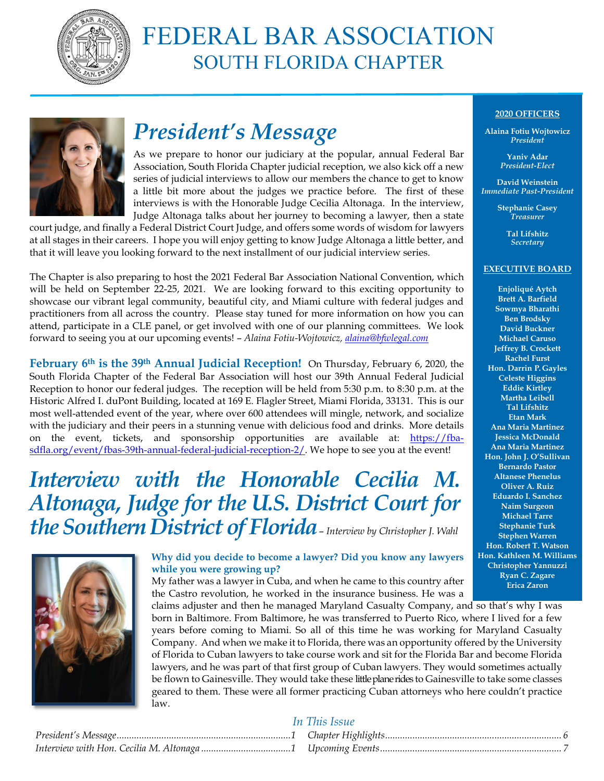

# FEDERAL BAR ASSOCIATION SOUTH FLORIDA CHAPTER



# *President's Message*

As we prepare to honor our judiciary at the popular, annual Federal Bar Association, South Florida Chapter judicial reception, we also kick off a new series of judicial interviews to allow our members the chance to get to know a little bit more about the judges we practice before. The first of these interviews is with the Honorable Judge Cecilia Altonaga. In the interview, Judge Altonaga talks about her journey to becoming a lawyer, then a state

court judge, and finally a Federal District Court Judge, and offers some words of wisdom for lawyers at all stages in their careers. I hope you will enjoy getting to know Judge Altonaga a little better, and that it will leave you looking forward to the next installment of our judicial interview series.

The Chapter is also preparing to host the 2021 Federal Bar Association National Convention, which will be held on September 22-25, 2021. We are looking forward to this exciting opportunity to showcase our vibrant legal community, beautiful city, and Miami culture with federal judges and practitioners from all across the country. Please stay tuned for more information on how you can attend, participate in a CLE panel, or get involved with one of our planning committees. We look forward to seeing you at our upcoming events! – *Alaina Fotiu-Wojtowicz, [alaina@bfwlegal.com](mailto:alaina@bfwlegal.com)*

**February 6th is the 39th Annual Judicial Reception!** On Thursday, February 6, 2020, the South Florida Chapter of the Federal Bar Association will host our 39th Annual Federal Judicial Reception to honor our federal judges. The reception will be held from 5:30 p.m. to 8:30 p.m. at the Historic Alfred I. duPont Building, located at 169 E. Flagler Street, Miami Florida, 33131. This is our most well-attended event of the year, where over 600 attendees will mingle, network, and socialize with the judiciary and their peers in a stunning venue with delicious food and drinks. More details on the event, tickets, and sponsorship opportunities are available at: [https://fba](https://fba-sdfla.org/event/fbas-39th-annual-federal-judicial-reception-2/)[sdfla.org/event/fbas-39th-annual-federal-judicial-reception-2/.](https://fba-sdfla.org/event/fbas-39th-annual-federal-judicial-reception-2/) We hope to see you at the event!

## *Interview with the Honorable Cecilia M. Altonaga, Judge for the U.S. District Court for the Southern District of Florida*– *Interview by Christopher J. Wahl*



#### **Why did you decide to become a lawyer? Did you know any lawyers while you were growing up?**

My father was a lawyer in Cuba, and when he came to this country after the Castro revolution, he worked in the insurance business. He was a

claims adjuster and then he managed Maryland Casualty Company, and so that's why I was born in Baltimore. From Baltimore, he was transferred to Puerto Rico, where I lived for a few years before coming to Miami. So all of this time he was working for Maryland Casualty Company. And when we make it to Florida, there was an opportunity offered by the University of Florida to Cuban lawyers to take course work and sit for the Florida Bar and become Florida lawyers, and he was part of that first group of Cuban lawyers. They would sometimes actually be flown to Gainesville. They would take these little plane rides to Gainesville to take some classes geared to them. These were all former practicing Cuban attorneys who here couldn't practice law.

## **2020 OFFICERS**

**Alaina Fotiu Wojtowicz** *President*

> **Yaniv Adar** *President-Elect*

**David Weinstein** *Immediate Past-President*

> **Stephanie Casey** *Treasurer*

> > **Tal Lifshitz** *Secretary*

#### **EXECUTIVE BOARD**

**Enjoliqué Aytch Brett A. Barfield Sowmya Bharathi Ben Brodsky David Buckner Michael Caruso Jeffrey B. Crockett Rachel Furst Hon. Darrin P. Gayles Celeste Higgins Eddie Kirtley Martha Leibell Tal Lifshitz Etan Mark Ana Maria Martinez Jessica McDonald Ana Maria Martinez Hon. John J. O'Sullivan Bernardo Pastor Altanese Phenelus Oliver A. Ruiz Eduardo I. Sanchez Naim Surgeon Michael Tarre Stephanie Turk Stephen Warren Hon. Robert T. Watson Hon. Kathleen M. Williams Christopher Yannuzzi Ryan C. Zagare Erica Zaron**

## *In This Issue*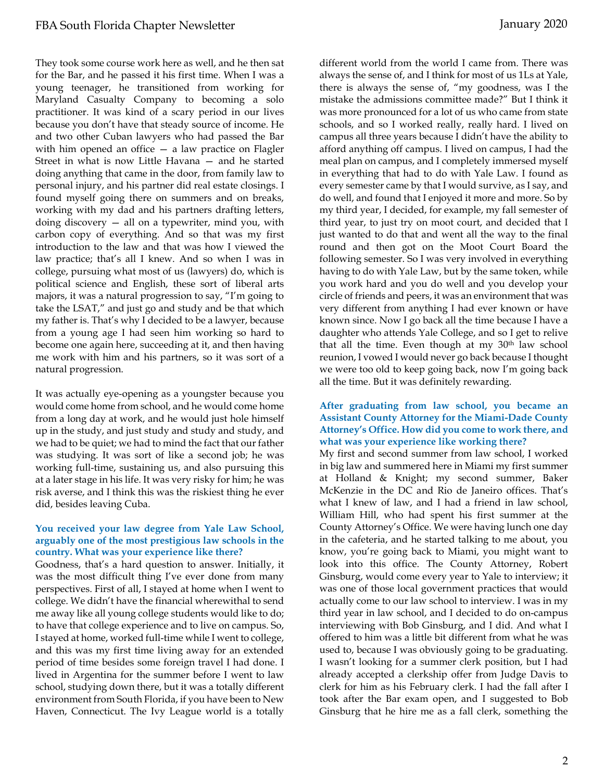They took some course work here as well, and he then sat for the Bar, and he passed it his first time. When I was a young teenager, he transitioned from working for Maryland Casualty Company to becoming a solo practitioner. It was kind of a scary period in our lives because you don't have that steady source of income. He and two other Cuban lawyers who had passed the Bar with him opened an office — a law practice on Flagler Street in what is now Little Havana — and he started doing anything that came in the door, from family law to personal injury, and his partner did real estate closings. I found myself going there on summers and on breaks, working with my dad and his partners drafting letters, doing discovery — all on a typewriter, mind you, with carbon copy of everything. And so that was my first introduction to the law and that was how I viewed the law practice; that's all I knew. And so when I was in college, pursuing what most of us (lawyers) do, which is political science and English, these sort of liberal arts majors, it was a natural progression to say, "I'm going to take the LSAT," and just go and study and be that which my father is. That's why I decided to be a lawyer, because from a young age I had seen him working so hard to become one again here, succeeding at it, and then having me work with him and his partners, so it was sort of a natural progression.

It was actually eye-opening as a youngster because you would come home from school, and he would come home from a long day at work, and he would just hole himself up in the study, and just study and study and study, and we had to be quiet; we had to mind the fact that our father was studying. It was sort of like a second job; he was working full-time, sustaining us, and also pursuing this at a later stage in his life. It was very risky for him; he was risk averse, and I think this was the riskiest thing he ever did, besides leaving Cuba.

#### **You received your law degree from Yale Law School, arguably one of the most prestigious law schools in the country. What was your experience like there?**

Goodness, that's a hard question to answer. Initially, it was the most difficult thing I've ever done from many perspectives. First of all, I stayed at home when I went to college. We didn't have the financial wherewithal to send me away like all young college students would like to do; to have that college experience and to live on campus. So, I stayed at home, worked full-time while I went to college, and this was my first time living away for an extended period of time besides some foreign travel I had done. I lived in Argentina for the summer before I went to law school, studying down there, but it was a totally different environment from South Florida, if you have been to New Haven, Connecticut. The Ivy League world is a totally

different world from the world I came from. There was always the sense of, and I think for most of us 1Ls at Yale, there is always the sense of, "my goodness, was I the mistake the admissions committee made?" But I think it was more pronounced for a lot of us who came from state schools, and so I worked really, really hard. I lived on campus all three years because I didn't have the ability to afford anything off campus. I lived on campus, I had the meal plan on campus, and I completely immersed myself in everything that had to do with Yale Law. I found as every semester came by that I would survive, as I say, and do well, and found that I enjoyed it more and more. So by my third year, I decided, for example, my fall semester of third year, to just try on moot court, and decided that I just wanted to do that and went all the way to the final round and then got on the Moot Court Board the following semester. So I was very involved in everything having to do with Yale Law, but by the same token, while you work hard and you do well and you develop your circle of friends and peers, it was an environment that was very different from anything I had ever known or have known since. Now I go back all the time because I have a daughter who attends Yale College, and so I get to relive that all the time. Even though at my 30<sup>th</sup> law school reunion, I vowed I would never go back because I thought we were too old to keep going back, now I'm going back all the time. But it was definitely rewarding.

#### **After graduating from law school, you became an Assistant County Attorney for the Miami-Dade County Attorney's Office. How did you come to work there, and what was your experience like working there?**

My first and second summer from law school, I worked in big law and summered here in Miami my first summer at Holland & Knight; my second summer, Baker McKenzie in the DC and Rio de Janeiro offices. That's what I knew of law, and I had a friend in law school, William Hill, who had spent his first summer at the County Attorney's Office. We were having lunch one day in the cafeteria, and he started talking to me about, you know, you're going back to Miami, you might want to look into this office. The County Attorney, Robert Ginsburg, would come every year to Yale to interview; it was one of those local government practices that would actually come to our law school to interview. I was in my third year in law school, and I decided to do on-campus interviewing with Bob Ginsburg, and I did. And what I offered to him was a little bit different from what he was used to, because I was obviously going to be graduating. I wasn't looking for a summer clerk position, but I had already accepted a clerkship offer from Judge Davis to clerk for him as his February clerk. I had the fall after I took after the Bar exam open, and I suggested to Bob Ginsburg that he hire me as a fall clerk, something the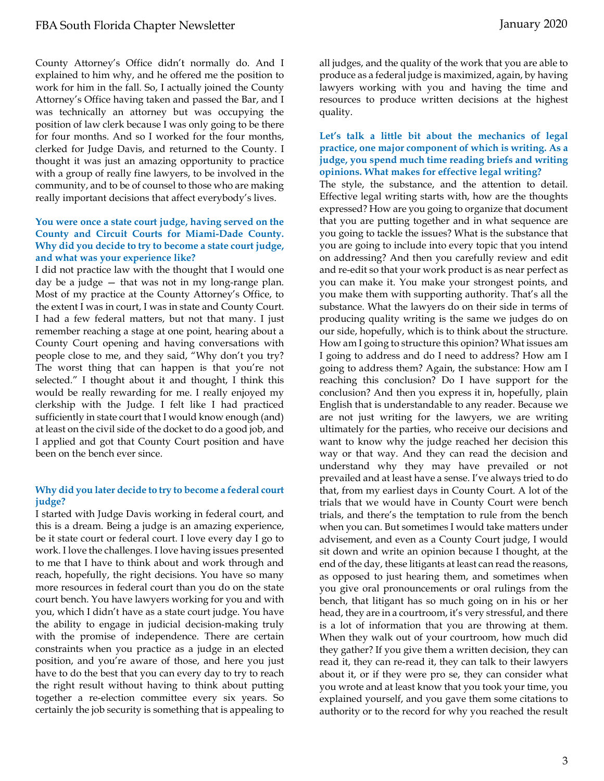County Attorney's Office didn't normally do. And I explained to him why, and he offered me the position to work for him in the fall. So, I actually joined the County Attorney's Office having taken and passed the Bar, and I was technically an attorney but was occupying the position of law clerk because I was only going to be there for four months. And so I worked for the four months, clerked for Judge Davis, and returned to the County. I thought it was just an amazing opportunity to practice with a group of really fine lawyers, to be involved in the community, and to be of counsel to those who are making really important decisions that affect everybody's lives.

#### **You were once a state court judge, having served on the County and Circuit Courts for Miami-Dade County. Why did you decide to try to become a state court judge, and what was your experience like?**

I did not practice law with the thought that I would one day be a judge — that was not in my long-range plan. Most of my practice at the County Attorney's Office, to the extent I was in court, I was in state and County Court. I had a few federal matters, but not that many. I just remember reaching a stage at one point, hearing about a County Court opening and having conversations with people close to me, and they said, "Why don't you try? The worst thing that can happen is that you're not selected." I thought about it and thought, I think this would be really rewarding for me. I really enjoyed my clerkship with the Judge. I felt like I had practiced sufficiently in state court that I would know enough (and) at least on the civil side of the docket to do a good job, and I applied and got that County Court position and have been on the bench ever since.

#### **Why did you later decide to try to become a federal court judge?**

I started with Judge Davis working in federal court, and this is a dream. Being a judge is an amazing experience, be it state court or federal court. I love every day I go to work. I love the challenges. I love having issues presented to me that I have to think about and work through and reach, hopefully, the right decisions. You have so many more resources in federal court than you do on the state court bench. You have lawyers working for you and with you, which I didn't have as a state court judge. You have the ability to engage in judicial decision-making truly with the promise of independence. There are certain constraints when you practice as a judge in an elected position, and you're aware of those, and here you just have to do the best that you can every day to try to reach the right result without having to think about putting together a re-election committee every six years. So certainly the job security is something that is appealing to

all judges, and the quality of the work that you are able to produce as a federal judge is maximized, again, by having lawyers working with you and having the time and resources to produce written decisions at the highest quality.

#### **Let's talk a little bit about the mechanics of legal practice, one major component of which is writing. As a judge, you spend much time reading briefs and writing opinions. What makes for effective legal writing?**

The style, the substance, and the attention to detail. Effective legal writing starts with, how are the thoughts expressed? How are you going to organize that document that you are putting together and in what sequence are you going to tackle the issues? What is the substance that you are going to include into every topic that you intend on addressing? And then you carefully review and edit and re-edit so that your work product is as near perfect as you can make it. You make your strongest points, and you make them with supporting authority. That's all the substance. What the lawyers do on their side in terms of producing quality writing is the same we judges do on our side, hopefully, which is to think about the structure. How am I going to structure this opinion? What issues am I going to address and do I need to address? How am I going to address them? Again, the substance: How am I reaching this conclusion? Do I have support for the conclusion? And then you express it in, hopefully, plain English that is understandable to any reader. Because we are not just writing for the lawyers, we are writing ultimately for the parties, who receive our decisions and want to know why the judge reached her decision this way or that way. And they can read the decision and understand why they may have prevailed or not prevailed and at least have a sense. I've always tried to do that, from my earliest days in County Court. A lot of the trials that we would have in County Court were bench trials, and there's the temptation to rule from the bench when you can. But sometimes I would take matters under advisement, and even as a County Court judge, I would sit down and write an opinion because I thought, at the end of the day, these litigants at least can read the reasons, as opposed to just hearing them, and sometimes when you give oral pronouncements or oral rulings from the bench, that litigant has so much going on in his or her head, they are in a courtroom, it's very stressful, and there is a lot of information that you are throwing at them. When they walk out of your courtroom, how much did they gather? If you give them a written decision, they can read it, they can re-read it, they can talk to their lawyers about it, or if they were pro se, they can consider what you wrote and at least know that you took your time, you explained yourself, and you gave them some citations to authority or to the record for why you reached the result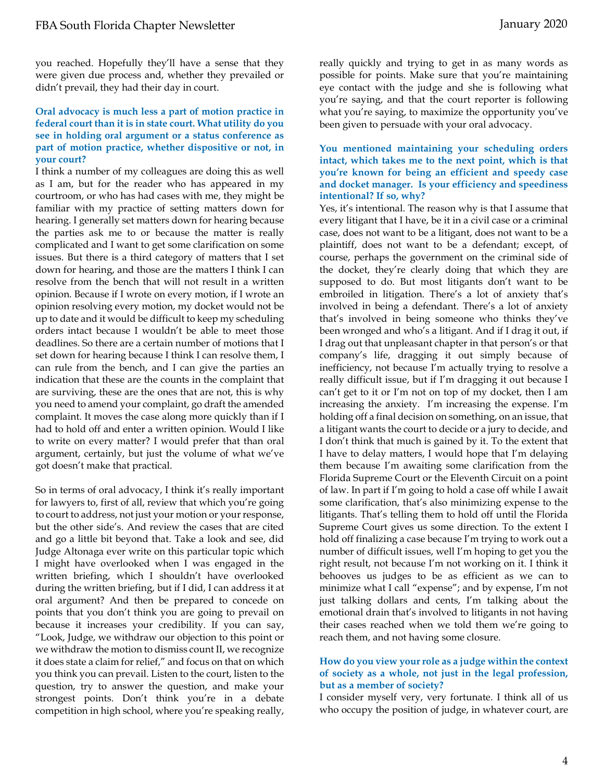you reached. Hopefully they'll have a sense that they were given due process and, whether they prevailed or didn't prevail, they had their day in court.

#### **Oral advocacy is much less a part of motion practice in federal court than it is in state court. What utility do you see in holding oral argument or a status conference as part of motion practice, whether dispositive or not, in your court?**

I think a number of my colleagues are doing this as well as I am, but for the reader who has appeared in my courtroom, or who has had cases with me, they might be familiar with my practice of setting matters down for hearing. I generally set matters down for hearing because the parties ask me to or because the matter is really complicated and I want to get some clarification on some issues. But there is a third category of matters that I set down for hearing, and those are the matters I think I can resolve from the bench that will not result in a written opinion. Because if I wrote on every motion, if I wrote an opinion resolving every motion, my docket would not be up to date and it would be difficult to keep my scheduling orders intact because I wouldn't be able to meet those deadlines. So there are a certain number of motions that I set down for hearing because I think I can resolve them, I can rule from the bench, and I can give the parties an indication that these are the counts in the complaint that are surviving, these are the ones that are not, this is why you need to amend your complaint, go draft the amended complaint. It moves the case along more quickly than if I had to hold off and enter a written opinion. Would I like to write on every matter? I would prefer that than oral argument, certainly, but just the volume of what we've got doesn't make that practical.

So in terms of oral advocacy, I think it's really important for lawyers to, first of all, review that which you're going to court to address, not just your motion or your response, but the other side's. And review the cases that are cited and go a little bit beyond that. Take a look and see, did Judge Altonaga ever write on this particular topic which I might have overlooked when I was engaged in the written briefing, which I shouldn't have overlooked during the written briefing, but if I did, I can address it at oral argument? And then be prepared to concede on points that you don't think you are going to prevail on because it increases your credibility. If you can say, "Look, Judge, we withdraw our objection to this point or we withdraw the motion to dismiss count II, we recognize it does state a claim for relief," and focus on that on which you think you can prevail. Listen to the court, listen to the question, try to answer the question, and make your strongest points. Don't think you're in a debate competition in high school, where you're speaking really,

really quickly and trying to get in as many words as possible for points. Make sure that you're maintaining eye contact with the judge and she is following what you're saying, and that the court reporter is following what you're saying, to maximize the opportunity you've been given to persuade with your oral advocacy.

#### **You mentioned maintaining your scheduling orders intact, which takes me to the next point, which is that you're known for being an efficient and speedy case and docket manager. Is your efficiency and speediness intentional? If so, why?**

Yes, it's intentional. The reason why is that I assume that every litigant that I have, be it in a civil case or a criminal case, does not want to be a litigant, does not want to be a plaintiff, does not want to be a defendant; except, of course, perhaps the government on the criminal side of the docket, they're clearly doing that which they are supposed to do. But most litigants don't want to be embroiled in litigation. There's a lot of anxiety that's involved in being a defendant. There's a lot of anxiety that's involved in being someone who thinks they've been wronged and who's a litigant. And if I drag it out, if I drag out that unpleasant chapter in that person's or that company's life, dragging it out simply because of inefficiency, not because I'm actually trying to resolve a really difficult issue, but if I'm dragging it out because I can't get to it or I'm not on top of my docket, then I am increasing the anxiety. I'm increasing the expense. I'm holding off a final decision on something, on an issue, that a litigant wants the court to decide or a jury to decide, and I don't think that much is gained by it. To the extent that I have to delay matters, I would hope that I'm delaying them because I'm awaiting some clarification from the Florida Supreme Court or the Eleventh Circuit on a point of law. In part if I'm going to hold a case off while I await some clarification, that's also minimizing expense to the litigants. That's telling them to hold off until the Florida Supreme Court gives us some direction. To the extent I hold off finalizing a case because I'm trying to work out a number of difficult issues, well I'm hoping to get you the right result, not because I'm not working on it. I think it behooves us judges to be as efficient as we can to minimize what I call "expense"; and by expense, I'm not just talking dollars and cents, I'm talking about the emotional drain that's involved to litigants in not having their cases reached when we told them we're going to reach them, and not having some closure.

#### **How do you view your role as a judge within the context of society as a whole, not just in the legal profession, but as a member of society?**

I consider myself very, very fortunate. I think all of us who occupy the position of judge, in whatever court, are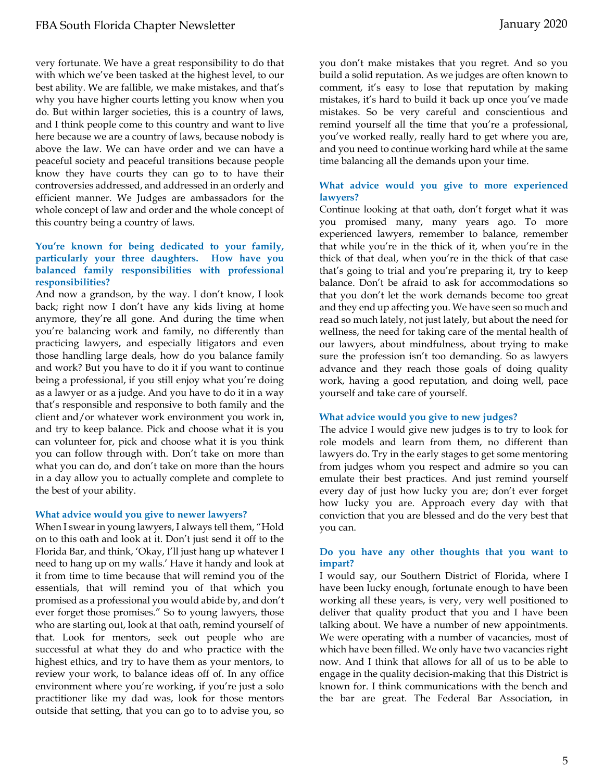very fortunate. We have a great responsibility to do that with which we've been tasked at the highest level, to our best ability. We are fallible, we make mistakes, and that's why you have higher courts letting you know when you do. But within larger societies, this is a country of laws, and I think people come to this country and want to live here because we are a country of laws, because nobody is above the law. We can have order and we can have a peaceful society and peaceful transitions because people know they have courts they can go to to have their controversies addressed, and addressed in an orderly and efficient manner. We Judges are ambassadors for the whole concept of law and order and the whole concept of this country being a country of laws.

#### **You're known for being dedicated to your family, particularly your three daughters. How have you balanced family responsibilities with professional responsibilities?**

And now a grandson, by the way. I don't know, I look back; right now I don't have any kids living at home anymore, they're all gone. And during the time when you're balancing work and family, no differently than practicing lawyers, and especially litigators and even those handling large deals, how do you balance family and work? But you have to do it if you want to continue being a professional, if you still enjoy what you're doing as a lawyer or as a judge. And you have to do it in a way that's responsible and responsive to both family and the client and/or whatever work environment you work in, and try to keep balance. Pick and choose what it is you can volunteer for, pick and choose what it is you think you can follow through with. Don't take on more than what you can do, and don't take on more than the hours in a day allow you to actually complete and complete to the best of your ability.

#### **What advice would you give to newer lawyers?**

When I swear in young lawyers, I always tell them, "Hold on to this oath and look at it. Don't just send it off to the Florida Bar, and think, 'Okay, I'll just hang up whatever I need to hang up on my walls.' Have it handy and look at it from time to time because that will remind you of the essentials, that will remind you of that which you promised as a professional you would abide by, and don't ever forget those promises." So to young lawyers, those who are starting out, look at that oath, remind yourself of that. Look for mentors, seek out people who are successful at what they do and who practice with the highest ethics, and try to have them as your mentors, to review your work, to balance ideas off of. In any office environment where you're working, if you're just a solo practitioner like my dad was, look for those mentors outside that setting, that you can go to to advise you, so

you don't make mistakes that you regret. And so you build a solid reputation. As we judges are often known to comment, it's easy to lose that reputation by making mistakes, it's hard to build it back up once you've made mistakes. So be very careful and conscientious and remind yourself all the time that you're a professional, you've worked really, really hard to get where you are, and you need to continue working hard while at the same time balancing all the demands upon your time.

#### **What advice would you give to more experienced lawyers?**

Continue looking at that oath, don't forget what it was you promised many, many years ago. To more experienced lawyers, remember to balance, remember that while you're in the thick of it, when you're in the thick of that deal, when you're in the thick of that case that's going to trial and you're preparing it, try to keep balance. Don't be afraid to ask for accommodations so that you don't let the work demands become too great and they end up affecting you. We have seen so much and read so much lately, not just lately, but about the need for wellness, the need for taking care of the mental health of our lawyers, about mindfulness, about trying to make sure the profession isn't too demanding. So as lawyers advance and they reach those goals of doing quality work, having a good reputation, and doing well, pace yourself and take care of yourself.

#### **What advice would you give to new judges?**

The advice I would give new judges is to try to look for role models and learn from them, no different than lawyers do. Try in the early stages to get some mentoring from judges whom you respect and admire so you can emulate their best practices. And just remind yourself every day of just how lucky you are; don't ever forget how lucky you are. Approach every day with that conviction that you are blessed and do the very best that you can.

#### **Do you have any other thoughts that you want to impart?**

I would say, our Southern District of Florida, where I have been lucky enough, fortunate enough to have been working all these years, is very, very well positioned to deliver that quality product that you and I have been talking about. We have a number of new appointments. We were operating with a number of vacancies, most of which have been filled. We only have two vacancies right now. And I think that allows for all of us to be able to engage in the quality decision-making that this District is known for. I think communications with the bench and the bar are great. The Federal Bar Association, in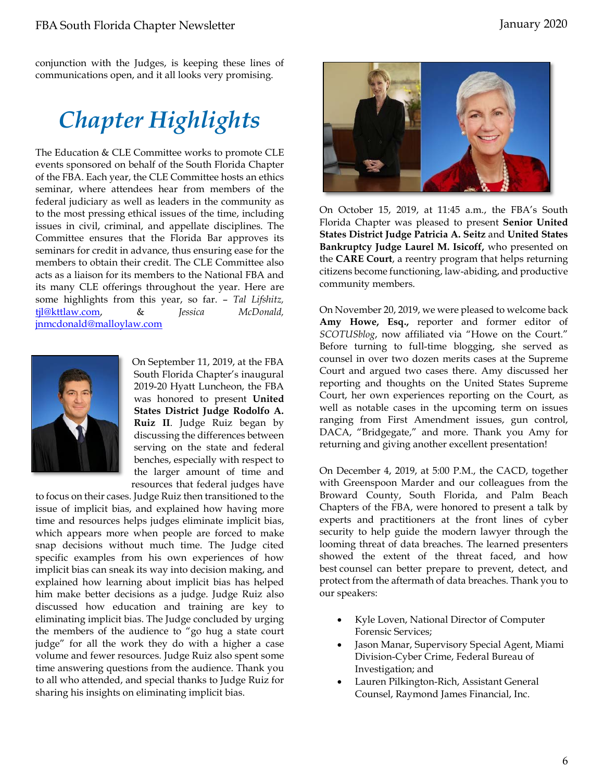conjunction with the Judges, is keeping these lines of communications open, and it all looks very promising.

# *Chapter Highlights*

The Education & CLE Committee works to promote CLE events sponsored on behalf of the South Florida Chapter of the FBA. Each year, the CLE Committee hosts an ethics seminar, where attendees hear from members of the federal judiciary as well as leaders in the community as to the most pressing ethical issues of the time, including issues in civil, criminal, and appellate disciplines. The Committee ensures that the Florida Bar approves its seminars for credit in advance, thus ensuring ease for the members to obtain their credit. The CLE Committee also acts as a liaison for its members to the National FBA and its many CLE offerings throughout the year. Here are some highlights from this year, so far. – *Tal Lifshitz,*  [tjl@kttlaw.com,](mailto:tjl@kttlaw.com) & *Jessica McDonald,*  [jnmcdonald@malloylaw.com](mailto:jnmcdonald@malloylaw.com)



On September 11, 2019, at the FBA South Florida Chapter's inaugural 2019-20 Hyatt Luncheon, the FBA was honored to present **United States District Judge Rodolfo A. Ruiz II**. Judge Ruiz began by discussing the differences between serving on the state and federal benches, especially with respect to the larger amount of time and resources that federal judges have

to focus on their cases. Judge Ruiz then transitioned to the issue of implicit bias, and explained how having more time and resources helps judges eliminate implicit bias, which appears more when people are forced to make snap decisions without much time. The Judge cited specific examples from his own experiences of how implicit bias can sneak its way into decision making, and explained how learning about implicit bias has helped him make better decisions as a judge. Judge Ruiz also discussed how education and training are key to eliminating implicit bias. The Judge concluded by urging the members of the audience to "go hug a state court judge" for all the work they do with a higher a case volume and fewer resources. Judge Ruiz also spent some time answering questions from the audience. Thank you to all who attended, and special thanks to Judge Ruiz for sharing his insights on eliminating implicit bias.



On October 15, 2019, at 11:45 a.m., the FBA's South Florida Chapter was pleased to present **Senior United States District Judge Patricia A. Seitz** and **United States Bankruptcy Judge Laurel M. Isicoff,** who presented on the **CARE Court**, a reentry program that helps returning citizens become functioning, law-abiding, and productive community members.

On November 20, 2019, we were pleased to welcome back **Amy Howe, Esq.,** reporter and former editor of *SCOTUSblog*, now affiliated via "Howe on the Court." Before turning to full-time blogging, she served as counsel in over two dozen merits cases at the Supreme Court and argued two cases there. Amy discussed her reporting and thoughts on the United States Supreme Court, her own experiences reporting on the Court, as well as notable cases in the upcoming term on issues ranging from First Amendment issues, gun control, DACA, "Bridgegate," and more. Thank you Amy for returning and giving another excellent presentation!

On December 4, 2019, at 5:00 P.M., the CACD, together with Greenspoon Marder and our colleagues from the Broward County, South Florida, and Palm Beach Chapters of the FBA, were honored to present a talk by experts and practitioners at the front lines of cyber security to help guide the modern lawyer through the looming threat of data breaches. The learned presenters showed the extent of the threat faced, and how best counsel can better prepare to prevent, detect, and protect from the aftermath of data breaches. Thank you to our speakers:

- Kyle Loven, National Director of Computer Forensic Services;
- Jason Manar, Supervisory Special Agent, Miami Division-Cyber Crime, Federal Bureau of Investigation; and
- Lauren Pilkington-Rich, Assistant General Counsel, Raymond James Financial, Inc.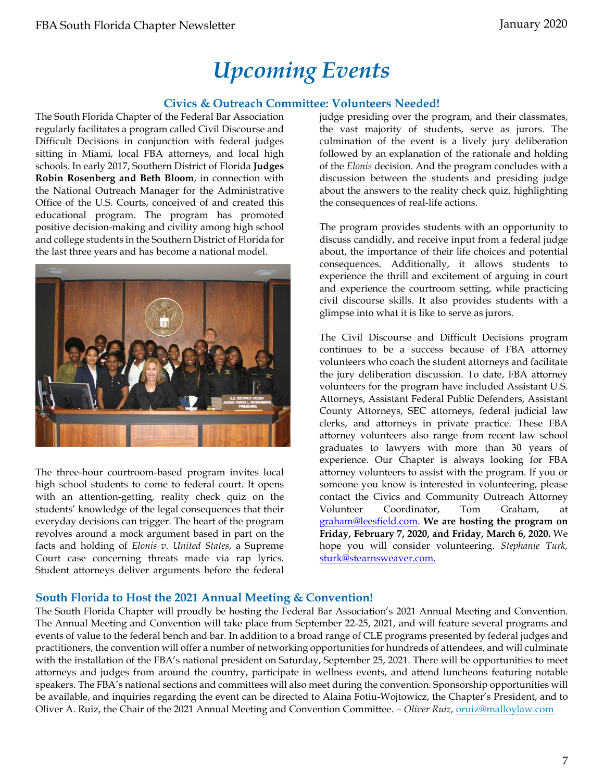# *Upcoming Events*

## **Civics & Outreach Committee: Volunteers Needed!**

The South Florida Chapter of the Federal Bar Association regularly facilitates a program called Civil Discourse and Difficult Decisions in conjunction with federal judges sitting in Miami, local FBA attorneys, and local high schools. In early 2017, Southern District of Florida **Judges Robin Rosenberg and Beth Bloom**, in connection with the National Outreach Manager for the Administrative Office of the U.S. Courts, conceived of and created this educational program. The program has promoted positive decision-making and civility among high school and college students in the Southern District of Florida for the last three years and has become a national model.



The three-hour courtroom-based program invites local high school students to come to federal court. It opens with an attention-getting, reality check quiz on the students' knowledge of the legal consequences that their everyday decisions can trigger. The heart of the program revolves around a mock argument based in part on the facts and holding of *Elonis v. United States*, a Supreme Court case concerning threats made via rap lyrics. Student attorneys deliver arguments before the federal judge presiding over the program, and their classmates, the vast majority of students, serve as jurors. The culmination of the event is a lively jury deliberation followed by an explanation of the rationale and holding of the *Elonis* decision. And the program concludes with a discussion between the students and presiding judge about the answers to the reality check quiz, highlighting the consequences of real-life actions.

The program provides students with an opportunity to discuss candidly, and receive input from a federal judge about, the importance of their life choices and potential consequences. Additionally, it allows students to experience the thrill and excitement of arguing in court and experience the courtroom setting, while practicing civil discourse skills. It also provides students with a glimpse into what it is like to serve as jurors.

The Civil Discourse and Difficult Decisions program continues to be a success because of FBA attorney volunteers who coach the student attorneys and facilitate the jury deliberation discussion. To date, FBA attorney volunteers for the program have included Assistant U.S. Attorneys, Assistant Federal Public Defenders, Assistant County Attorneys, SEC attorneys, federal judicial law clerks, and attorneys in private practice. These FBA attorney volunteers also range from recent law school graduates to lawyers with more than 30 years of experience. Our Chapter is always looking for FBA attorney volunteers to assist with the program. If you or someone you know is interested in volunteering, please contact the Civics and Community Outreach Attorney Volunteer Coordinator, Tom Graham, at [graham@leesfield.com.](mailto:graham@leesfield.com) **We are hosting the program on Friday, February 7, 2020, and Friday, March 6, 2020.** We hope you will consider volunteering. *Stephanie Turk,*  [sturk@stearnsweaver.com.](mailto:sturk@stearnsweaver.com)

#### **South Florida to Host the 2021 Annual Meeting & Convention!**

The South Florida Chapter will proudly be hosting the Federal Bar Association's 2021 Annual Meeting and Convention. The Annual Meeting and Convention will take place from September 22-25, 2021, and will feature several programs and events of value to the federal bench and bar. In addition to a broad range of CLE programs presented by federal judges and practitioners, the convention will offer a number of networking opportunities for hundreds of attendees, and will culminate with the installation of the FBA's national president on Saturday, September 25, 2021. There will be opportunities to meet attorneys and judges from around the country, participate in wellness events, and attend luncheons featuring notable speakers. The FBA's national sections and committees will also meet during the convention. Sponsorship opportunities will be available, and inquiries regarding the event can be directed to Alaina Fotiu-Wojtowicz, the Chapter's President, and to Oliver A. Ruiz, the Chair of the 2021 Annual Meeting and Convention Committee. *– Oliver Ruiz,* [oruiz@malloylaw.com](mailto:oruiz@malloylaw.com)